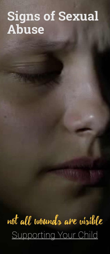# **Signs of Sexual Abuse**

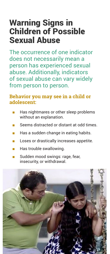## Warning Signs in Children of Possible Sexual Abuse

The occurrence of one indicator does not necessarily mean a person has experienced sexual abuse. Additionally, indicators of sexual abuse can vary widely from person to person.

#### **Behavior you may see in a child or adolescent:**

- Has nightmares or other sleep problems without an explanation.
- Seems distracted or distant at odd times.
- Has a sudden change in eating habits.
- Loses or drastically increases appetite.
- Has trouble swallowing.
- Sudden mood swings: rage, fear, insecurity, or withdrawal.

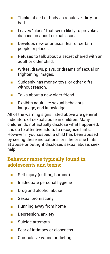- Thinks of self or body as repulsive, dirty, or bad.
- Leaves "clues" that seem likely to provoke a discussion about sexual issues.
- Develops new or unusual fear of certain people or places.
- Refuses to talk about a secret shared with an adult or older child.
- Writes, draws, plays, or dreams of sexual or frightening images.
- Suddenly has money, toys, or other gifts without reason.
- Talks about a new older friend.
- Exhibits adult-like sexual behaviors, language, and knowledge.

All of the warning signs listed above are general indicators of sexual abuse in children. Many children do not actually disclose what happened; it is up to attentive adults to recognize hints. However, if you suspect a child has been abused by seeing these indications, or if he or she hints at abuse or outright discloses sexual abuse, seek help.

#### **Behavior more typically found in adolescents and teens:**

- Self-injury (cutting, burning)
- Inadequate personal hygiene
- Drug and alcohol abuse
- Sexual promiscuity
- Running away from home
- Depression, anxiety
- Suicide attempts
- Fear of intimacy or closeness
- Compulsive eating or dieting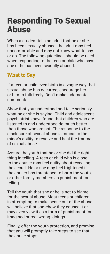## Responding To Sexual Abuse

When a student tells an adult that he or she has been sexually abused, the adult may feel uncomfortable and may not know what to say or do. The following guidelines should be used when responding to the teen or child who says she or he has been sexually abused:

### **What to Say**

If a teen or child even hints in a vague way that sexual abuse has occurred, encourage her or him to talk freely. Don't make judgmental comments.

Show that you understand and take seriously what he or she is saying. Child and adolescent psychiatrists have found that children who are listened to and understood do much better than those who are not. The response to the disclosure of sexual abuse is critical to the minor's ability to resolve and heal the trauma of sexual abuse.

Assure the youth that he or she did the right thing in telling. A teen or child who is close to the abuser may feel guilty about revealing the secret. He or she may feel frightened if the abuser has threatened to harm the youth, or other family members as punishment for telling.

Tell the youth that she or he is not to blame for the sexual abuse. Most teens or children in attempting to make sense out of the abuse will believe that somehow they caused it or may even view it as a form of punishment for imagined or real wrong- doings.

Finally, offer the youth protection, and promise that you will promptly take steps to see that the abuse stops.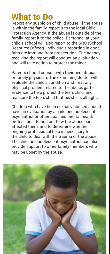### What to Do

Report any suspicion of child abuse. If the abuse is within the family, report it to the local Child Protection Agency. If the abuse is outside of the family, report it to the police. Personnel at your child's school will also report to the SRO (School Resource Officer). Individuals reporting in good faith are immune from prosecution. The agency receiving the report will conduct an evaluation and will take action to protect the minor.

Parents should consult with their pediatrician or family physician. The examining doctor will evaluate the child's condition and treat any physical problem related to the abuse, gather evidence to help protect the teen/child, and reassure the teen/child that he/she is all right.

Children who have been sexually abused should have an evaluation by a child and adolescent psychiatrist or other qualified mental health professional to find out how the abuse has affected them, and to determine whether ongoing professional help is necessary for the child to deal with the trauma of the abuse. The child and adolescent psychiatrist can also provide support to other family members who may be upset by the abuse.